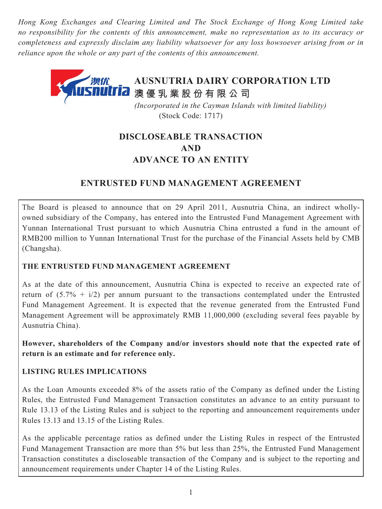*Hong Kong Exchanges and Clearing Limited and The Stock Exchange of Hong Kong Limited take no responsibility for the contents of this announcement, make no representation as to its accuracy or completeness and expressly disclaim any liability whatsoever for any loss howsoever arising from or in reliance upon the whole or any part of the contents of this announcement.*

# **AUSNUTRIA DAIRY CORPORATION LTD** 澳优  $\overline{\mathbf{I}}$  **[7]** 澳 優 乳 業 股 份 有 限 公 司

 *(Incorporated in the Cayman Islands with limited liability)* (Stock Code: 1717)

# **DISCLOSEABLE TRANSACTION AND ADVANCE TO AN ENTITY**

# **ENTRUSTED FUND MANAGEMENT AGREEMENT**

The Board is pleased to announce that on 29 April 2011, Ausnutria China, an indirect whollyowned subsidiary of the Company, has entered into the Entrusted Fund Management Agreement with Yunnan International Trust pursuant to which Ausnutria China entrusted a fund in the amount of RMB200 million to Yunnan International Trust for the purchase of the Financial Assets held by CMB (Changsha).

# **THE ENTRUSTED FUND MANAGEMENT AGREEMENT**

As at the date of this announcement, Ausnutria China is expected to receive an expected rate of return of  $(5.7\% + i/2)$  per annum pursuant to the transactions contemplated under the Entrusted Fund Management Agreement. It is expected that the revenue generated from the Entrusted Fund Management Agreement will be approximately RMB 11,000,000 (excluding several fees payable by Ausnutria China).

**However, shareholders of the Company and/or investors should note that the expected rate of return is an estimate and for reference only.**

# **LISTING RULES IMPLICATIONS**

As the Loan Amounts exceeded 8% of the assets ratio of the Company as defined under the Listing Rules, the Entrusted Fund Management Transaction constitutes an advance to an entity pursuant to Rule 13.13 of the Listing Rules and is subject to the reporting and announcement requirements under Rules 13.13 and 13.15 of the Listing Rules.

As the applicable percentage ratios as defined under the Listing Rules in respect of the Entrusted Fund Management Transaction are more than 5% but less than 25%, the Entrusted Fund Management Transaction constitutes a discloseable transaction of the Company and is subject to the reporting and announcement requirements under Chapter 14 of the Listing Rules.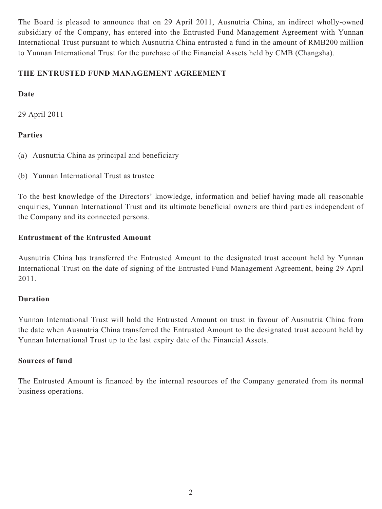The Board is pleased to announce that on 29 April 2011, Ausnutria China, an indirect wholly-owned subsidiary of the Company, has entered into the Entrusted Fund Management Agreement with Yunnan International Trust pursuant to which Ausnutria China entrusted a fund in the amount of RMB200 million to Yunnan International Trust for the purchase of the Financial Assets held by CMB (Changsha).

## **THE ENTRUSTED FUND MANAGEMENT AGREEMENT**

## **Date**

29 April 2011

## **Parties**

- (a) Ausnutria China as principal and beneficiary
- (b) Yunnan International Trust as trustee

To the best knowledge of the Directors' knowledge, information and belief having made all reasonable enquiries, Yunnan International Trust and its ultimate beneficial owners are third parties independent of the Company and its connected persons.

### **Entrustment of the Entrusted Amount**

Ausnutria China has transferred the Entrusted Amount to the designated trust account held by Yunnan International Trust on the date of signing of the Entrusted Fund Management Agreement, being 29 April 2011.

### **Duration**

Yunnan International Trust will hold the Entrusted Amount on trust in favour of Ausnutria China from the date when Ausnutria China transferred the Entrusted Amount to the designated trust account held by Yunnan International Trust up to the last expiry date of the Financial Assets.

### **Sources of fund**

The Entrusted Amount is financed by the internal resources of the Company generated from its normal business operations.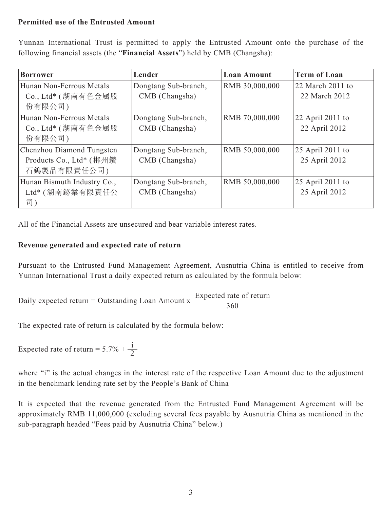### **Permitted use of the Entrusted Amount**

Yunnan International Trust is permitted to apply the Entrusted Amount onto the purchase of the following financial assets (the "**Financial Assets**") held by CMB (Changsha):

| <b>Borrower</b>             | Lender               | <b>Loan Amount</b> | <b>Term of Loan</b> |
|-----------------------------|----------------------|--------------------|---------------------|
| Hunan Non-Ferrous Metals    | Dongtang Sub-branch, | RMB 30,000,000     | 22 March 2011 to    |
| Co., Ltd* (湖南有色金属股          | CMB (Changsha)       |                    | 22 March 2012       |
| 份有限公司)                      |                      |                    |                     |
| Hunan Non-Ferrous Metals    | Dongtang Sub-branch, | RMB 70,000,000     | 22 April 2011 to    |
| Co., Ltd* (湖南有色金属股          | CMB (Changsha)       |                    | 22 April 2012       |
| 份有限公司)                      |                      |                    |                     |
| Chenzhou Diamond Tungsten   | Dongtang Sub-branch, | RMB 50,000,000     | 25 April 2011 to    |
| Products Co., Ltd* (郴州鑽     | CMB (Changsha)       |                    | 25 April 2012       |
| 石鎢製品有限責任公司)                 |                      |                    |                     |
| Hunan Bismuth Industry Co., | Dongtang Sub-branch, | RMB 50,000,000     | 25 April 2011 to    |
| Ltd*(湖南鉍業有限責任公              | CMB (Changsha)       |                    | 25 April 2012       |
| 司)                          |                      |                    |                     |

All of the Financial Assets are unsecured and bear variable interest rates.

## **Revenue generated and expected rate of return**

Pursuant to the Entrusted Fund Management Agreement, Ausnutria China is entitled to receive from Yunnan International Trust a daily expected return as calculated by the formula below:

Daily expected return = Outstanding Loan Amount x  $\frac{\text{Expected rate of return}}{260}$ 360

The expected rate of return is calculated by the formula below:

Expected rate of return =  $5.7\% + \frac{1}{2}$ 

where "i" is the actual changes in the interest rate of the respective Loan Amount due to the adjustment in the benchmark lending rate set by the People's Bank of China

It is expected that the revenue generated from the Entrusted Fund Management Agreement will be approximately RMB 11,000,000 (excluding several fees payable by Ausnutria China as mentioned in the sub-paragraph headed "Fees paid by Ausnutria China" below.)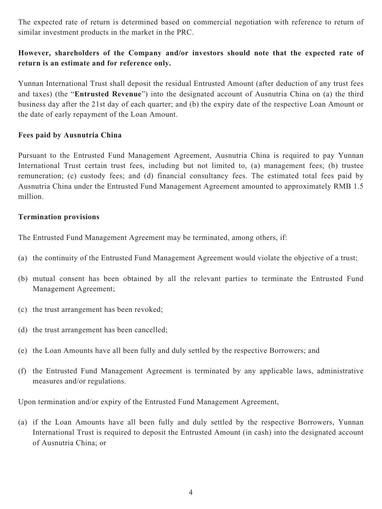The expected rate of return is determined based on commercial negotiation with reference to return of similar investment products in the market in the PRC.

# **However, shareholders of the Company and/or investors should note that the expected rate of return is an estimate and for reference only.**

Yunnan International Trust shall deposit the residual Entrusted Amount (after deduction of any trust fees and taxes) (the "**Entrusted Revenue**") into the designated account of Ausnutria China on (a) the third business day after the 21st day of each quarter; and (b) the expiry date of the respective Loan Amount or the date of early repayment of the Loan Amount.

### **Fees paid by Ausnutria China**

Pursuant to the Entrusted Fund Management Agreement, Ausnutria China is required to pay Yunnan International Trust certain trust fees, including but not limited to, (a) management fees; (b) trustee remuneration; (c) custody fees; and (d) financial consultancy fees. The estimated total fees paid by Ausnutria China under the Entrusted Fund Management Agreement amounted to approximately RMB 1.5 million.

#### **Termination provisions**

The Entrusted Fund Management Agreement may be terminated, among others, if:

- (a) the continuity of the Entrusted Fund Management Agreement would violate the objective of a trust;
- (b) mutual consent has been obtained by all the relevant parties to terminate the Entrusted Fund Management Agreement;
- (c) the trust arrangement has been revoked;
- (d) the trust arrangement has been cancelled;
- (e) the Loan Amounts have all been fully and duly settled by the respective Borrowers; and
- (f) the Entrusted Fund Management Agreement is terminated by any applicable laws, administrative measures and/or regulations.

Upon termination and/or expiry of the Entrusted Fund Management Agreement,

(a) if the Loan Amounts have all been fully and duly settled by the respective Borrowers, Yunnan International Trust is required to deposit the Entrusted Amount (in cash) into the designated account of Ausnutria China; or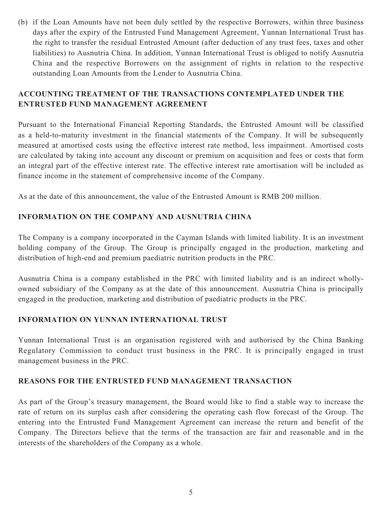(b) if the Loan Amounts have not been duly settled by the respective Borrowers, within three business days after the expiry of the Entrusted Fund Management Agreement, Yunnan International Trust has the right to transfer the residual Entrusted Amount (after deduction of any trust fees, taxes and other liabilities) to Ausnutria China. In addition, Yunnan International Trust is obliged to notify Ausnutria China and the respective Borrowers on the assignment of rights in relation to the respective outstanding Loan Amounts from the Lender to Ausnutria China.

# **ACCOUNTING TREATMENT OF THE TRANSACTIONS CONTEMPLATED UNDER THE ENTRUSTED FUND MANAGEMENT AGREEMENT**

Pursuant to the International Financial Reporting Standards, the Entrusted Amount will be classified as a held-to-maturity investment in the financial statements of the Company. It will be subsequently measured at amortised costs using the effective interest rate method, less impairment. Amortised costs are calculated by taking into account any discount or premium on acquisition and fees or costs that form an integral part of the effective interest rate. The effective interest rate amortisation will be included as finance income in the statement of comprehensive income of the Company.

As at the date of this announcement, the value of the Entrusted Amount is RMB 200 million.

## **INFORMATION ON THE COMPANY AND AUSNUTRIA CHINA**

The Company is a company incorporated in the Cayman Islands with limited liability. It is an investment holding company of the Group. The Group is principally engaged in the production, marketing and distribution of high-end and premium paediatric nutrition products in the PRC.

Ausnutria China is a company established in the PRC with limited liability and is an indirect whollyowned subsidiary of the Company as at the date of this announcement. Ausnutria China is principally engaged in the production, marketing and distribution of paediatric products in the PRC.

## **INFORMATION ON YUNNAN INTERNATIONAL TRUST**

Yunnan International Trust is an organisation registered with and authorised by the China Banking Regulatory Commission to conduct trust business in the PRC. It is principally engaged in trust management business in the PRC.

### **REASONS FOR THE ENTRUSTED FUND MANAGEMENT TRANSACTION**

As part of the Group's treasury management, the Board would like to find a stable way to increase the rate of return on its surplus cash after considering the operating cash flow forecast of the Group. The entering into the Entrusted Fund Management Agreement can increase the return and benefit of the Company. The Directors believe that the terms of the transaction are fair and reasonable and in the interests of the shareholders of the Company as a whole.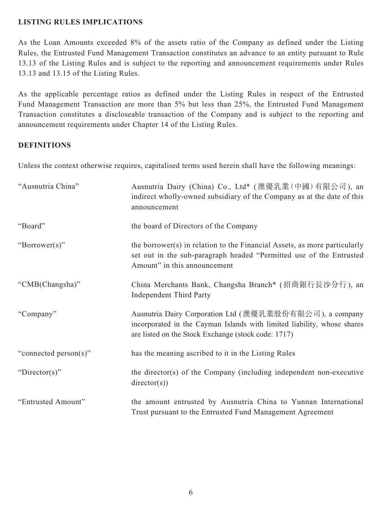## **LISTING RULES IMPLICATIONS**

As the Loan Amounts exceeded 8% of the assets ratio of the Company as defined under the Listing Rules, the Entrusted Fund Management Transaction constitutes an advance to an entity pursuant to Rule 13.13 of the Listing Rules and is subject to the reporting and announcement requirements under Rules 13.13 and 13.15 of the Listing Rules.

As the applicable percentage ratios as defined under the Listing Rules in respect of the Entrusted Fund Management Transaction are more than 5% but less than 25%, the Entrusted Fund Management Transaction constitutes a discloseable transaction of the Company and is subject to the reporting and announcement requirements under Chapter 14 of the Listing Rules.

## **DEFINITIONS**

Unless the context otherwise requires, capitalised terms used herein shall have the following meanings:

| "Ausnutria China"     | Ausnutria Dairy (China) Co., Ltd* (澳優乳業(中國)有限公司), an<br>indirect wholly-owned subsidiary of the Company as at the date of this<br>announcement                                            |
|-----------------------|-------------------------------------------------------------------------------------------------------------------------------------------------------------------------------------------|
| "Board"               | the board of Directors of the Company                                                                                                                                                     |
| "Borrower(s)"         | the borrower(s) in relation to the Financial Assets, as more particularly<br>set out in the sub-paragraph headed "Permitted use of the Entrusted<br>Amount" in this announcement          |
| "CMB(Changsha)"       | China Merchants Bank, Changsha Branch* (招商銀行長沙分行), an<br><b>Independent Third Party</b>                                                                                                   |
| "Company"             | Ausnutria Dairy Corporation Ltd (澳優乳業股份有限公司), a company<br>incorporated in the Cayman Islands with limited liability, whose shares<br>are listed on the Stock Exchange (stock code: 1717) |
| "connected person(s)" | has the meaning ascribed to it in the Listing Rules                                                                                                                                       |
| "Director(s)"         | the director(s) of the Company (including independent non-executive<br>directory(s))                                                                                                      |
| "Entrusted Amount"    | the amount entrusted by Ausnutria China to Yunnan International<br>Trust pursuant to the Entrusted Fund Management Agreement                                                              |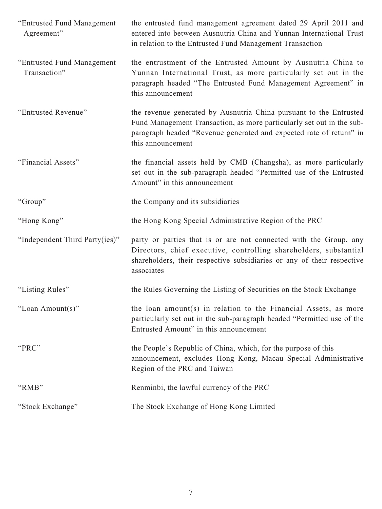| "Entrusted Fund Management<br>Agreement"   | the entrusted fund management agreement dated 29 April 2011 and<br>entered into between Ausnutria China and Yunnan International Trust<br>in relation to the Entrusted Fund Management Transaction                                      |
|--------------------------------------------|-----------------------------------------------------------------------------------------------------------------------------------------------------------------------------------------------------------------------------------------|
| "Entrusted Fund Management<br>Transaction" | the entrustment of the Entrusted Amount by Ausnutria China to<br>Yunnan International Trust, as more particularly set out in the<br>paragraph headed "The Entrusted Fund Management Agreement" in<br>this announcement                  |
| "Entrusted Revenue"                        | the revenue generated by Ausnutria China pursuant to the Entrusted<br>Fund Management Transaction, as more particularly set out in the sub-<br>paragraph headed "Revenue generated and expected rate of return" in<br>this announcement |
| "Financial Assets"                         | the financial assets held by CMB (Changsha), as more particularly<br>set out in the sub-paragraph headed "Permitted use of the Entrusted<br>Amount" in this announcement                                                                |
| "Group"                                    | the Company and its subsidiaries                                                                                                                                                                                                        |
| "Hong Kong"                                | the Hong Kong Special Administrative Region of the PRC                                                                                                                                                                                  |
| "Independent Third Party(ies)"             | party or parties that is or are not connected with the Group, any<br>Directors, chief executive, controlling shareholders, substantial<br>shareholders, their respective subsidiaries or any of their respective<br>associates          |
| "Listing Rules"                            | the Rules Governing the Listing of Securities on the Stock Exchange                                                                                                                                                                     |
| "Loan Amount(s)"                           | the loan amount(s) in relation to the Financial Assets, as more                                                                                                                                                                         |
|                                            | particularly set out in the sub-paragraph headed "Permitted use of the<br>Entrusted Amount" in this announcement                                                                                                                        |
| "PRC"                                      | the People's Republic of China, which, for the purpose of this<br>announcement, excludes Hong Kong, Macau Special Administrative<br>Region of the PRC and Taiwan                                                                        |
| "RMB"                                      | Renminbi, the lawful currency of the PRC                                                                                                                                                                                                |